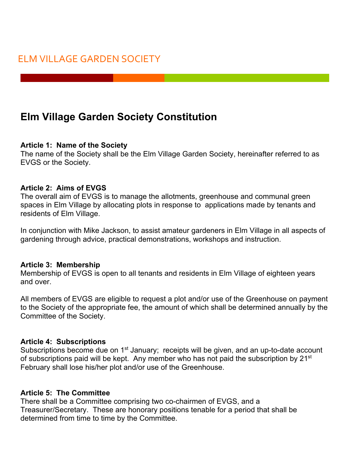# **Elm Village Garden Society Constitution**

#### **Article 1: Name of the Society**

The name of the Society shall be the Elm Village Garden Society, hereinafter referred to as EVGS or the Society.

#### **Article 2: Aims of EVGS**

The overall aim of EVGS is to manage the allotments, greenhouse and communal green spaces in Elm Village by allocating plots in response to applications made by tenants and residents of Elm Village.

In conjunction with Mike Jackson, to assist amateur gardeners in Elm Village in all aspects of gardening through advice, practical demonstrations, workshops and instruction.

#### **Article 3: Membership**

Membership of EVGS is open to all tenants and residents in Elm Village of eighteen years and over.

All members of EVGS are eligible to request a plot and/or use of the Greenhouse on payment to the Society of the appropriate fee, the amount of which shall be determined annually by the Committee of the Society.

#### **Article 4: Subscriptions**

Subscriptions become due on 1<sup>st</sup> January; receipts will be given, and an up-to-date account of subscriptions paid will be kept. Any member who has not paid the subscription by 21<sup>st</sup> February shall lose his/her plot and/or use of the Greenhouse.

#### **Article 5: The Committee**

There shall be a Committee comprising two co-chairmen of EVGS, and a Treasurer/Secretary. These are honorary positions tenable for a period that shall be determined from time to time by the Committee.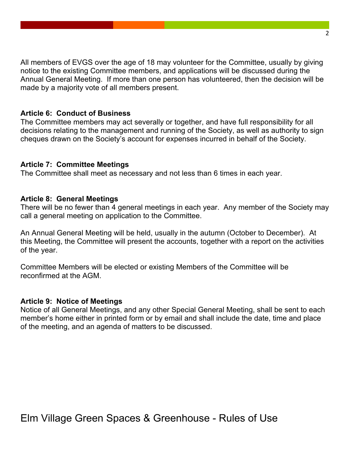All members of EVGS over the age of 18 may volunteer for the Committee, usually by giving notice to the existing Committee members, and applications will be discussed during the Annual General Meeting. If more than one person has volunteered, then the decision will be made by a majority vote of all members present.

#### **Article 6: Conduct of Business**

The Committee members may act severally or together, and have full responsibility for all decisions relating to the management and running of the Society, as well as authority to sign cheques drawn on the Society's account for expenses incurred in behalf of the Society.

#### **Article 7: Committee Meetings**

The Committee shall meet as necessary and not less than 6 times in each year.

#### **Article 8: General Meetings**

There will be no fewer than 4 general meetings in each year. Any member of the Society may call a general meeting on application to the Committee.

An Annual General Meeting will be held, usually in the autumn (October to December). At this Meeting, the Committee will present the accounts, together with a report on the activities of the year.

Committee Members will be elected or existing Members of the Committee will be reconfirmed at the AGM.

#### **Article 9: Notice of Meetings**

Notice of all General Meetings, and any other Special General Meeting, shall be sent to each member's home either in printed form or by email and shall include the date, time and place of the meeting, and an agenda of matters to be discussed.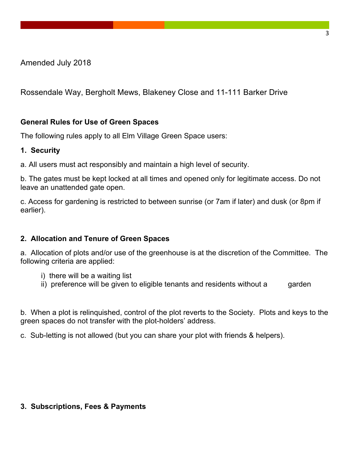Amended July 2018

Rossendale Way, Bergholt Mews, Blakeney Close and 11-111 Barker Drive

## **General Rules for Use of Green Spaces**

The following rules apply to all Elm Village Green Space users:

## **1. Security**

a. All users must act responsibly and maintain a high level of security.

b. The gates must be kept locked at all times and opened only for legitimate access. Do not leave an unattended gate open.

c. Access for gardening is restricted to between sunrise (or 7am if later) and dusk (or 8pm if earlier).

## **2. Allocation and Tenure of Green Spaces**

a. Allocation of plots and/or use of the greenhouse is at the discretion of the Committee. The following criteria are applied:

- i) there will be a waiting list
- ii) preference will be given to eligible tenants and residents without a garden

b. When a plot is relinquished, control of the plot reverts to the Society. Plots and keys to the green spaces do not transfer with the plot-holders' address.

c. Sub-letting is not allowed (but you can share your plot with friends & helpers).

## **3. Subscriptions, Fees & Payments**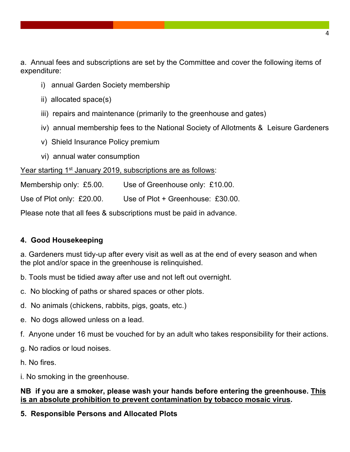a. Annual fees and subscriptions are set by the Committee and cover the following items of expenditure:

- i) annual Garden Society membership
- ii) allocated space(s)
- iii) repairs and maintenance (primarily to the greenhouse and gates)
- iv) annual membership fees to the National Society of Allotments & Leisure Gardeners
- v) Shield Insurance Policy premium
- vi) annual water consumption

## Year starting 1<sup>st</sup> January 2019, subscriptions are as follows:

Membership only: £5.00. Use of Greenhouse only: £10.00.

Use of Plot only: £20.00. Use of Plot + Greenhouse: £30.00.

Please note that all fees & subscriptions must be paid in advance.

# **4. Good Housekeeping**

a. Gardeners must tidy-up after every visit as well as at the end of every season and when the plot and/or space in the greenhouse is relinquished.

- b. Tools must be tidied away after use and not left out overnight.
- c. No blocking of paths or shared spaces or other plots.
- d. No animals (chickens, rabbits, pigs, goats, etc.)
- e. No dogs allowed unless on a lead.
- f. Anyone under 16 must be vouched for by an adult who takes responsibility for their actions.
- g. No radios or loud noises.
- h. No fires.

i. No smoking in the greenhouse.

## **NB if you are a smoker, please wash your hands before entering the greenhouse. This is an absolute prohibition to prevent contamination by tobacco mosaic virus.**

# **5. Responsible Persons and Allocated Plots**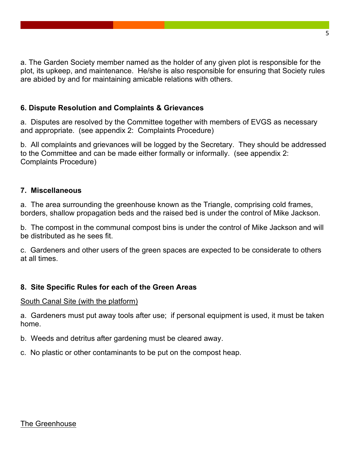a. The Garden Society member named as the holder of any given plot is responsible for the plot, its upkeep, and maintenance. He/she is also responsible for ensuring that Society rules are abided by and for maintaining amicable relations with others.

## **6. Dispute Resolution and Complaints & Grievances**

a. Disputes are resolved by the Committee together with members of EVGS as necessary and appropriate. (see appendix 2: Complaints Procedure)

b. All complaints and grievances will be logged by the Secretary. They should be addressed to the Committee and can be made either formally or informally. (see appendix 2: Complaints Procedure)

## **7. Miscellaneous**

a. The area surrounding the greenhouse known as the Triangle, comprising cold frames, borders, shallow propagation beds and the raised bed is under the control of Mike Jackson.

b. The compost in the communal compost bins is under the control of Mike Jackson and will be distributed as he sees fit.

c. Gardeners and other users of the green spaces are expected to be considerate to others at all times.

## **8. Site Specific Rules for each of the Green Areas**

#### South Canal Site (with the platform)

a. Gardeners must put away tools after use; if personal equipment is used, it must be taken home.

b. Weeds and detritus after gardening must be cleared away.

c. No plastic or other contaminants to be put on the compost heap.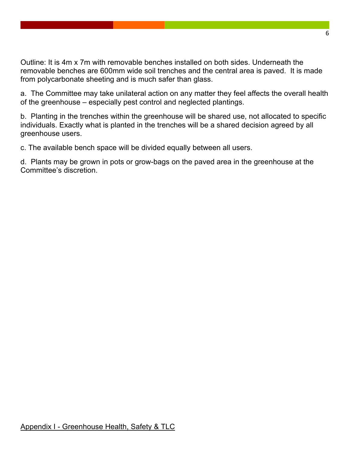Outline: It is 4m x 7m with removable benches installed on both sides. Underneath the removable benches are 600mm wide soil trenches and the central area is paved. It is made from polycarbonate sheeting and is much safer than glass.

a. The Committee may take unilateral action on any matter they feel affects the overall health of the greenhouse – especially pest control and neglected plantings.

b. Planting in the trenches within the greenhouse will be shared use, not allocated to specific individuals. Exactly what is planted in the trenches will be a shared decision agreed by all greenhouse users.

c. The available bench space will be divided equally between all users.

d. Plants may be grown in pots or grow-bags on the paved area in the greenhouse at the Committee's discretion.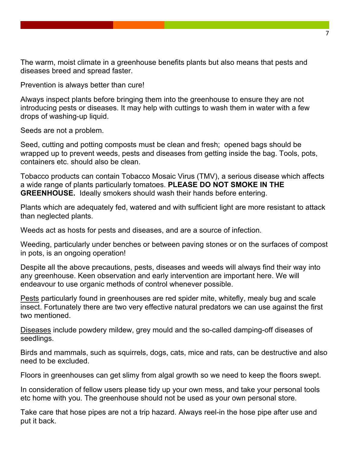The warm, moist climate in a greenhouse benefits plants but also means that pests and diseases breed and spread faster.

Prevention is always better than cure!

Always inspect plants before bringing them into the greenhouse to ensure they are not introducing pests or diseases. It may help with cuttings to wash them in water with a few drops of washing-up liquid.

Seeds are not a problem.

Seed, cutting and potting composts must be clean and fresh; opened bags should be wrapped up to prevent weeds, pests and diseases from getting inside the bag. Tools, pots, containers etc. should also be clean.

Tobacco products can contain Tobacco Mosaic Virus (TMV), a serious disease which affects a wide range of plants particularly tomatoes. **PLEASE DO NOT SMOKE IN THE GREENHOUSE.** Ideally smokers should wash their hands before entering.

Plants which are adequately fed, watered and with sufficient light are more resistant to attack than neglected plants.

Weeds act as hosts for pests and diseases, and are a source of infection.

Weeding, particularly under benches or between paving stones or on the surfaces of compost in pots, is an ongoing operation!

Despite all the above precautions, pests, diseases and weeds will always find their way into any greenhouse. Keen observation and early intervention are important here. We will endeavour to use organic methods of control whenever possible.

Pests particularly found in greenhouses are red spider mite, whitefly, mealy bug and scale insect. Fortunately there are two very effective natural predators we can use against the first two mentioned.

Diseases include powdery mildew, grey mould and the so-called damping-off diseases of seedlings.

Birds and mammals, such as squirrels, dogs, cats, mice and rats, can be destructive and also need to be excluded.

Floors in greenhouses can get slimy from algal growth so we need to keep the floors swept.

In consideration of fellow users please tidy up your own mess, and take your personal tools etc home with you. The greenhouse should not be used as your own personal store.

Take care that hose pipes are not a trip hazard. Always reel-in the hose pipe after use and put it back.